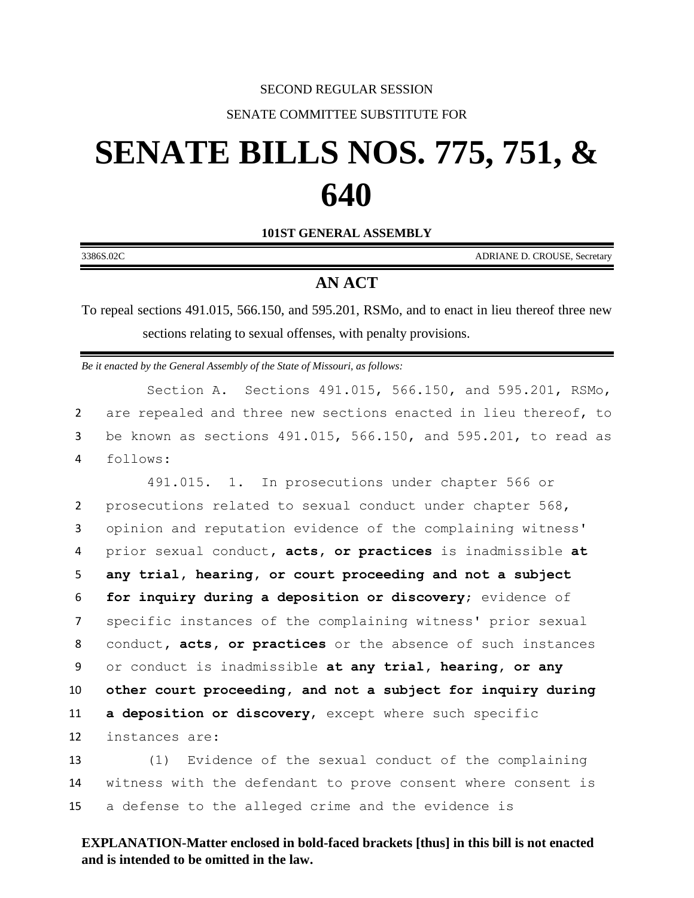#### SECOND REGULAR SESSION

## SENATE COMMITTEE SUBSTITUTE FOR

# **SENATE BILLS NOS. 775, 751, & 640**

**101ST GENERAL ASSEMBLY**

| <b>ADRIANE D. CROUSE, Secretary</b>                                                                                                                              | 3386S.02C |
|------------------------------------------------------------------------------------------------------------------------------------------------------------------|-----------|
| <b>AN ACT</b>                                                                                                                                                    |           |
| To repeal sections 491.015, 566.150, and 595.201, RSMo, and to enact in lieu thereof three new<br>sections relating to sexual offenses, with penalty provisions. |           |
| Be it enacted by the General Assembly of the State of Missouri, as follows:                                                                                      |           |

Section A. Sections 491.015, 566.150, and 595.201, RSMo, 2 are repealed and three new sections enacted in lieu thereof, to 3 be known as sections 491.015, 566.150, and 595.201, to read as 4 follows:

 491.015. 1. In prosecutions under chapter 566 or prosecutions related to sexual conduct under chapter 568, opinion and reputation evidence of the complaining witness' prior sexual conduct**, acts, or practices** is inadmissible **at any trial, hearing, or court proceeding and not a subject for inquiry during a deposition or discovery**; evidence of specific instances of the complaining witness' prior sexual conduct**, acts, or practices** or the absence of such instances or conduct is inadmissible **at any trial, hearing, or any other court proceeding, and not a subject for inquiry during a deposition or discovery**, except where such specific instances are:

13 (1) Evidence of the sexual conduct of the complaining 14 witness with the defendant to prove consent where consent is 15 a defense to the alleged crime and the evidence is

## **EXPLANATION-Matter enclosed in bold-faced brackets [thus] in this bill is not enacted and is intended to be omitted in the law.**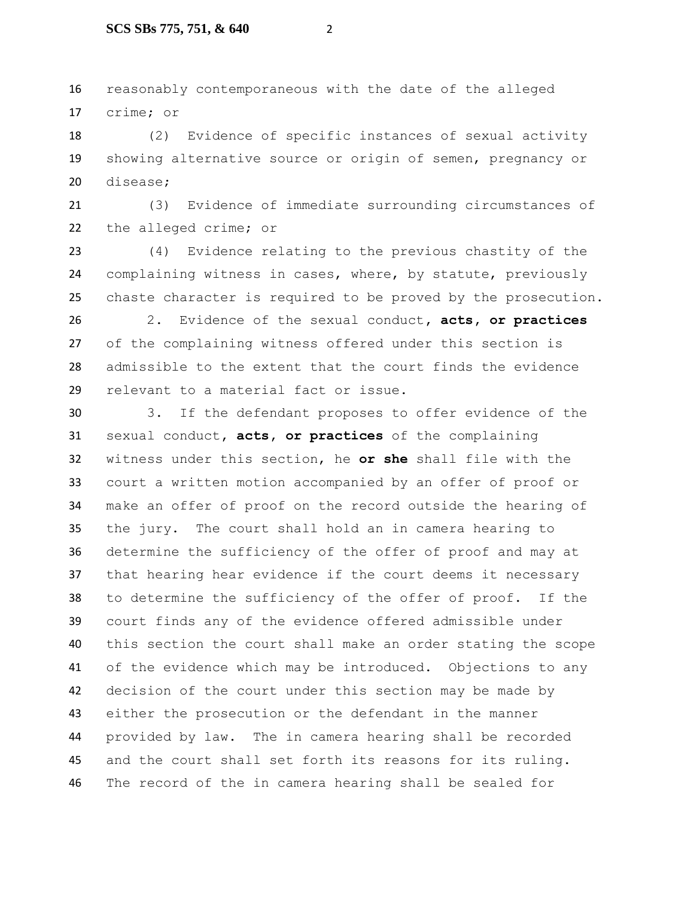reasonably contemporaneous with the date of the alleged crime; or

 (2) Evidence of specific instances of sexual activity showing alternative source or origin of semen, pregnancy or disease;

 (3) Evidence of immediate surrounding circumstances of the alleged crime; or

 (4) Evidence relating to the previous chastity of the complaining witness in cases, where, by statute, previously chaste character is required to be proved by the prosecution.

 2. Evidence of the sexual conduct**, acts, or practices** of the complaining witness offered under this section is admissible to the extent that the court finds the evidence relevant to a material fact or issue.

 3. If the defendant proposes to offer evidence of the sexual conduct**, acts, or practices** of the complaining witness under this section, he **or she** shall file with the court a written motion accompanied by an offer of proof or make an offer of proof on the record outside the hearing of the jury. The court shall hold an in camera hearing to determine the sufficiency of the offer of proof and may at that hearing hear evidence if the court deems it necessary to determine the sufficiency of the offer of proof. If the court finds any of the evidence offered admissible under this section the court shall make an order stating the scope of the evidence which may be introduced. Objections to any decision of the court under this section may be made by either the prosecution or the defendant in the manner provided by law. The in camera hearing shall be recorded and the court shall set forth its reasons for its ruling. The record of the in camera hearing shall be sealed for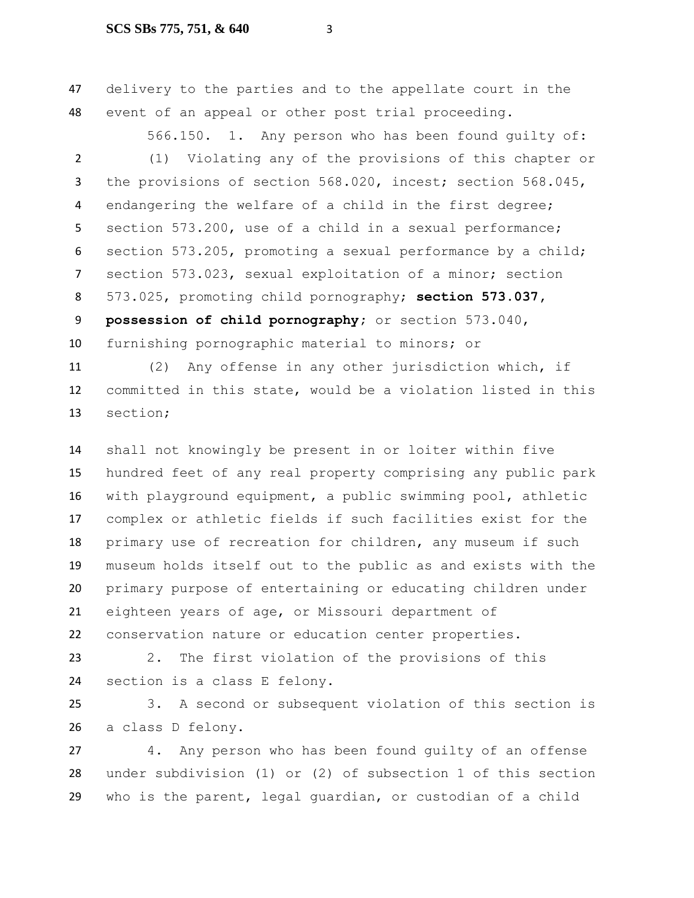delivery to the parties and to the appellate court in the event of an appeal or other post trial proceeding.

566.150. 1. Any person who has been found quilty of:

 (1) Violating any of the provisions of this chapter or 3 the provisions of section 568.020, incest; section 568.045, endangering the welfare of a child in the first degree; section 573.200, use of a child in a sexual performance; section 573.205, promoting a sexual performance by a child; section 573.023, sexual exploitation of a minor; section 573.025, promoting child pornography; **section 573.037, possession of child pornography;** or section 573.040, furnishing pornographic material to minors; or

 (2) Any offense in any other jurisdiction which, if committed in this state, would be a violation listed in this section;

 shall not knowingly be present in or loiter within five hundred feet of any real property comprising any public park with playground equipment, a public swimming pool, athletic complex or athletic fields if such facilities exist for the primary use of recreation for children, any museum if such museum holds itself out to the public as and exists with the primary purpose of entertaining or educating children under eighteen years of age, or Missouri department of conservation nature or education center properties.

 2. The first violation of the provisions of this section is a class E felony.

 3. A second or subsequent violation of this section is a class D felony.

 4. Any person who has been found guilty of an offense under subdivision (1) or (2) of subsection 1 of this section who is the parent, legal guardian, or custodian of a child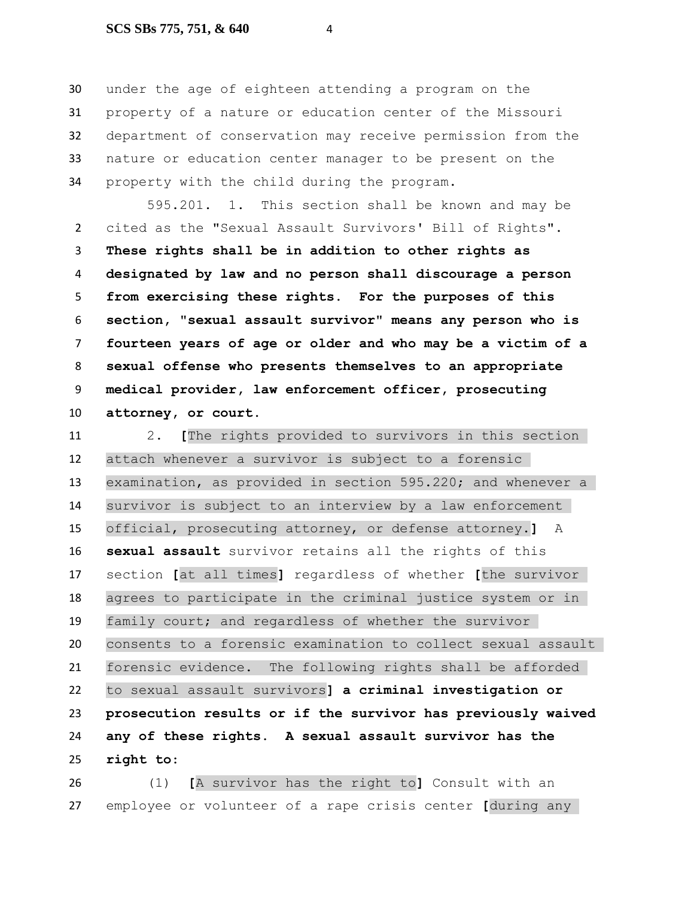### **SCS SBs 775, 751, & 640** 4

 under the age of eighteen attending a program on the property of a nature or education center of the Missouri department of conservation may receive permission from the nature or education center manager to be present on the property with the child during the program.

595.201. 1. This section shall be known and may be cited as the "Sexual Assault Survivors' Bill of Rights". **These rights shall be in addition to other rights as designated by law and no person shall discourage a person from exercising these rights. For the purposes of this section, "sexual assault survivor" means any person who is fourteen years of age or older and who may be a victim of a sexual offense who presents themselves to an appropriate medical provider, law enforcement officer, prosecuting attorney, or court.**

 2. **[**The rights provided to survivors in this section attach whenever a survivor is subject to a forensic examination, as provided in section 595.220; and whenever a survivor is subject to an interview by a law enforcement official, prosecuting attorney, or defense attorney.**]** A **sexual assault** survivor retains all the rights of this section **[**at all times**]** regardless of whether **[**the survivor agrees to participate in the criminal justice system or in family court; and regardless of whether the survivor consents to a forensic examination to collect sexual assault forensic evidence. The following rights shall be afforded to sexual assault survivors**] a criminal investigation or prosecution results or if the survivor has previously waived any of these rights. A sexual assault survivor has the right to**:

 (1) **[**A survivor has the right to**]** Consult with an employee or volunteer of a rape crisis center **[**during any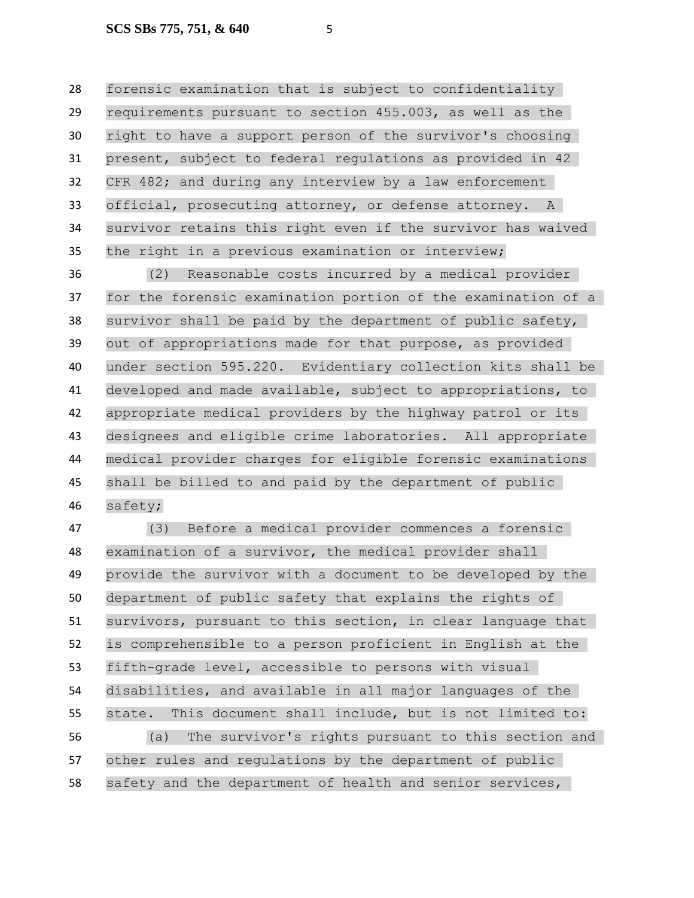forensic examination that is subject to confidentiality requirements pursuant to section 455.003, as well as the right to have a support person of the survivor's choosing present, subject to federal regulations as provided in 42 CFR 482; and during any interview by a law enforcement official, prosecuting attorney, or defense attorney. A survivor retains this right even if the survivor has waived the right in a previous examination or interview;

 (2) Reasonable costs incurred by a medical provider for the forensic examination portion of the examination of a survivor shall be paid by the department of public safety, out of appropriations made for that purpose, as provided under section 595.220. Evidentiary collection kits shall be developed and made available, subject to appropriations, to appropriate medical providers by the highway patrol or its designees and eligible crime laboratories. All appropriate medical provider charges for eligible forensic examinations shall be billed to and paid by the department of public safety;

 (3) Before a medical provider commences a forensic examination of a survivor, the medical provider shall provide the survivor with a document to be developed by the department of public safety that explains the rights of survivors, pursuant to this section, in clear language that is comprehensible to a person proficient in English at the fifth-grade level, accessible to persons with visual disabilities, and available in all major languages of the state. This document shall include, but is not limited to: (a) The survivor's rights pursuant to this section and other rules and regulations by the department of public safety and the department of health and senior services,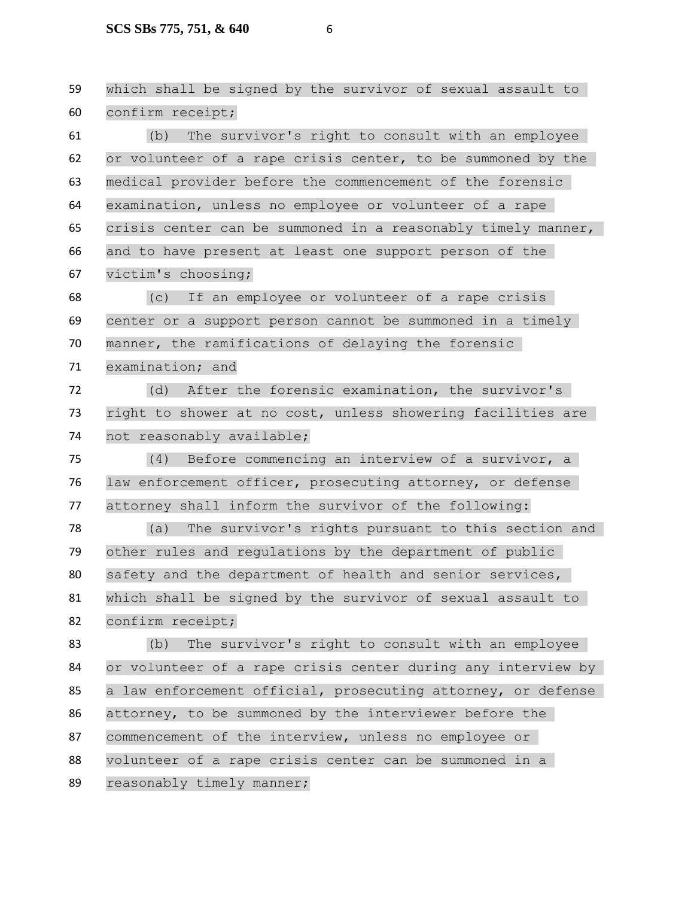which shall be signed by the survivor of sexual assault to confirm receipt; (b) The survivor's right to consult with an employee or volunteer of a rape crisis center, to be summoned by the medical provider before the commencement of the forensic examination, unless no employee or volunteer of a rape crisis center can be summoned in a reasonably timely manner, and to have present at least one support person of the victim's choosing; (c) If an employee or volunteer of a rape crisis center or a support person cannot be summoned in a timely manner, the ramifications of delaying the forensic examination; and (d) After the forensic examination, the survivor's right to shower at no cost, unless showering facilities are not reasonably available; (4) Before commencing an interview of a survivor, a law enforcement officer, prosecuting attorney, or defense attorney shall inform the survivor of the following: (a) The survivor's rights pursuant to this section and other rules and regulations by the department of public 80 safety and the department of health and senior services, which shall be signed by the survivor of sexual assault to confirm receipt; (b) The survivor's right to consult with an employee or volunteer of a rape crisis center during any interview by a law enforcement official, prosecuting attorney, or defense attorney, to be summoned by the interviewer before the 87 commencement of the interview, unless no employee or volunteer of a rape crisis center can be summoned in a reasonably timely manner;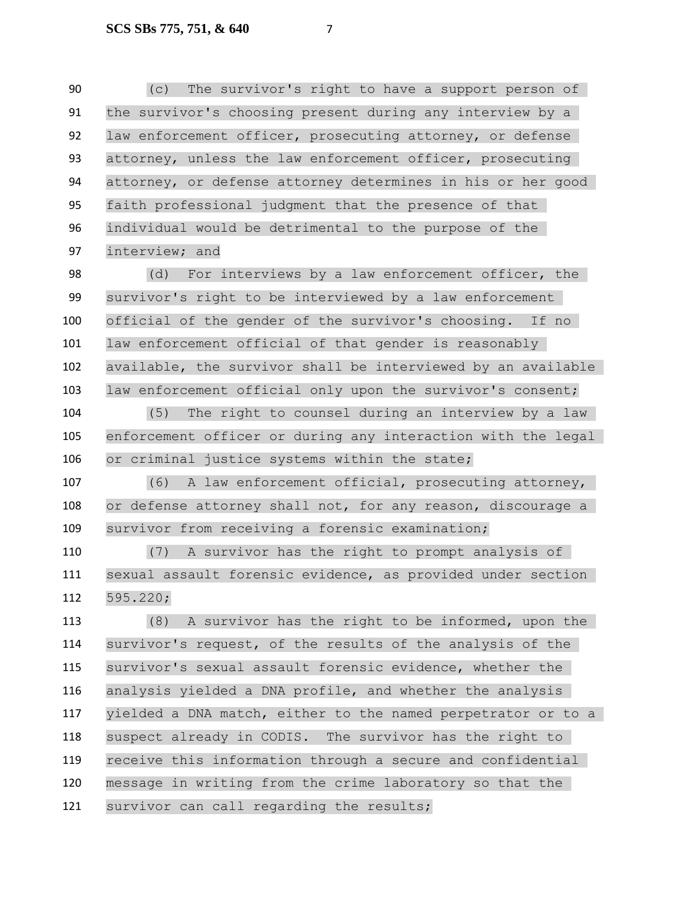(c) The survivor's right to have a support person of the survivor's choosing present during any interview by a law enforcement officer, prosecuting attorney, or defense 93 attorney, unless the law enforcement officer, prosecuting attorney, or defense attorney determines in his or her good faith professional judgment that the presence of that individual would be detrimental to the purpose of the interview; and

 (d) For interviews by a law enforcement officer, the survivor's right to be interviewed by a law enforcement official of the gender of the survivor's choosing. If no 101 law enforcement official of that gender is reasonably available, the survivor shall be interviewed by an available law enforcement official only upon the survivor's consent;

 (5) The right to counsel during an interview by a law enforcement officer or during any interaction with the legal or criminal justice systems within the state;

 (6) A law enforcement official, prosecuting attorney, or defense attorney shall not, for any reason, discourage a survivor from receiving a forensic examination;

 (7) A survivor has the right to prompt analysis of sexual assault forensic evidence, as provided under section 595.220;

 (8) A survivor has the right to be informed, upon the survivor's request, of the results of the analysis of the survivor's sexual assault forensic evidence, whether the analysis yielded a DNA profile, and whether the analysis yielded a DNA match, either to the named perpetrator or to a suspect already in CODIS. The survivor has the right to receive this information through a secure and confidential message in writing from the crime laboratory so that the 121 survivor can call regarding the results;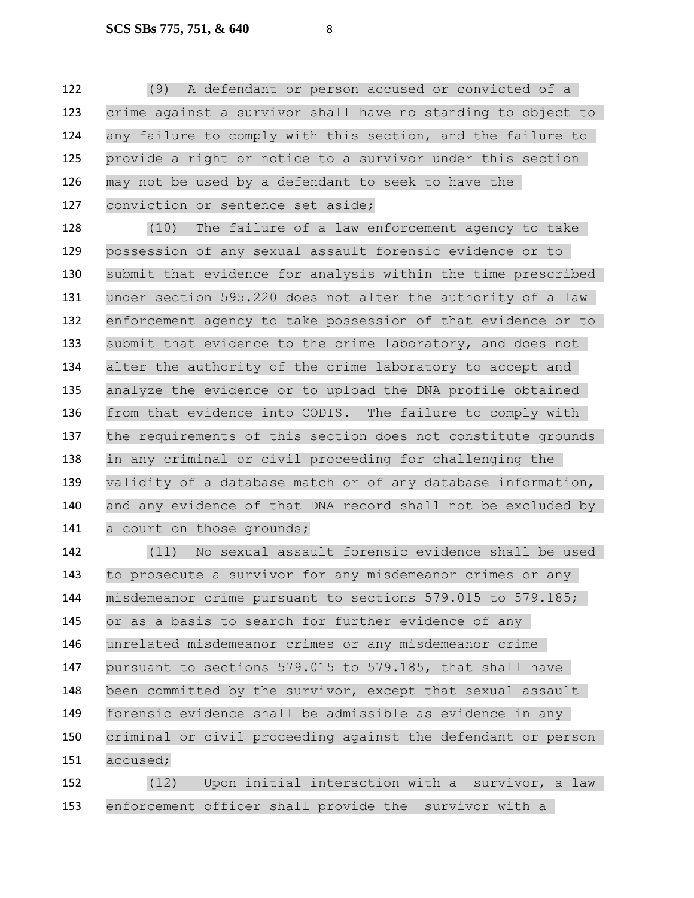(9) A defendant or person accused or convicted of a crime against a survivor shall have no standing to object to any failure to comply with this section, and the failure to provide a right or notice to a survivor under this section may not be used by a defendant to seek to have the conviction or sentence set aside;

 (10) The failure of a law enforcement agency to take possession of any sexual assault forensic evidence or to submit that evidence for analysis within the time prescribed under section 595.220 does not alter the authority of a law enforcement agency to take possession of that evidence or to submit that evidence to the crime laboratory, and does not alter the authority of the crime laboratory to accept and analyze the evidence or to upload the DNA profile obtained from that evidence into CODIS. The failure to comply with the requirements of this section does not constitute grounds in any criminal or civil proceeding for challenging the validity of a database match or of any database information, and any evidence of that DNA record shall not be excluded by 141 a court on those grounds;

 (11) No sexual assault forensic evidence shall be used to prosecute a survivor for any misdemeanor crimes or any misdemeanor crime pursuant to sections 579.015 to 579.185; or as a basis to search for further evidence of any unrelated misdemeanor crimes or any misdemeanor crime pursuant to sections 579.015 to 579.185, that shall have been committed by the survivor, except that sexual assault forensic evidence shall be admissible as evidence in any criminal or civil proceeding against the defendant or person accused;

 (12) Upon initial interaction with a survivor, a law enforcement officer shall provide the survivor with a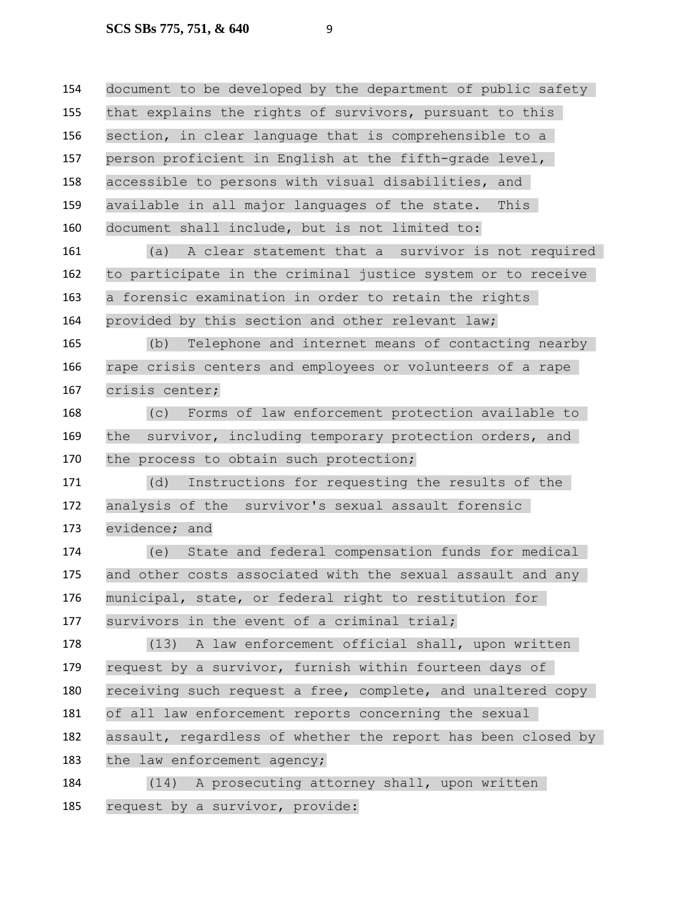document to be developed by the department of public safety that explains the rights of survivors, pursuant to this section, in clear language that is comprehensible to a person proficient in English at the fifth-grade level, accessible to persons with visual disabilities, and available in all major languages of the state. This document shall include, but is not limited to: (a) A clear statement that a survivor is not required to participate in the criminal justice system or to receive a forensic examination in order to retain the rights provided by this section and other relevant law; (b) Telephone and internet means of contacting nearby rape crisis centers and employees or volunteers of a rape crisis center; (c) Forms of law enforcement protection available to the survivor, including temporary protection orders, and 170 the process to obtain such protection; (d) Instructions for requesting the results of the analysis of the survivor's sexual assault forensic evidence; and (e) State and federal compensation funds for medical and other costs associated with the sexual assault and any municipal, state, or federal right to restitution for survivors in the event of a criminal trial; (13) A law enforcement official shall, upon written request by a survivor, furnish within fourteen days of receiving such request a free, complete, and unaltered copy of all law enforcement reports concerning the sexual assault, regardless of whether the report has been closed by 183 the law enforcement agency; (14) A prosecuting attorney shall, upon written request by a survivor, provide: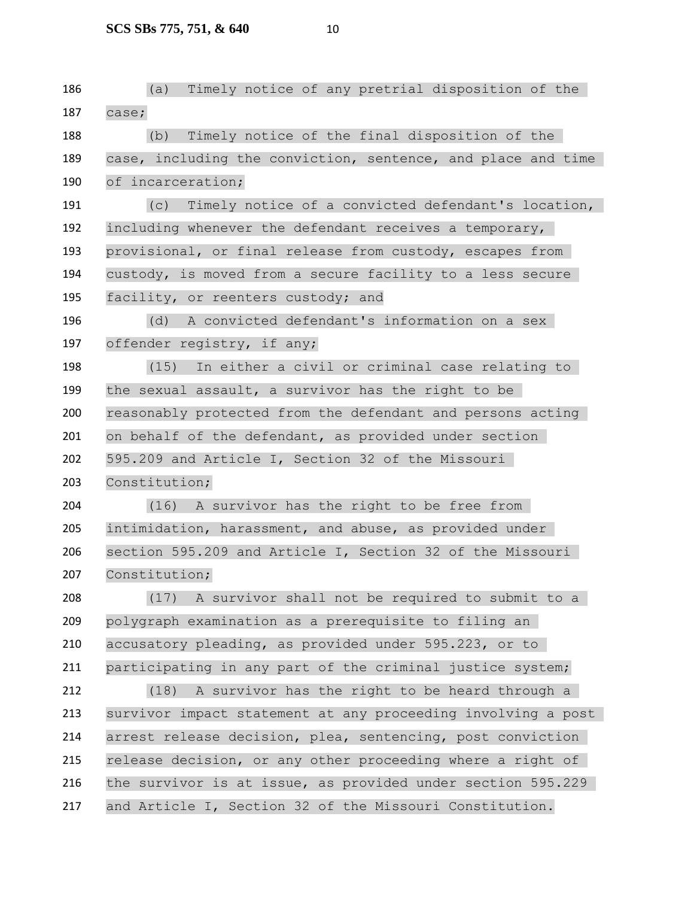**SCS SBs 775, 751, & 640** 10

 (a) Timely notice of any pretrial disposition of the case; (b) Timely notice of the final disposition of the case, including the conviction, sentence, and place and time of incarceration; (c) Timely notice of a convicted defendant's location, including whenever the defendant receives a temporary, provisional, or final release from custody, escapes from custody, is moved from a secure facility to a less secure 195 facility, or reenters custody; and (d) A convicted defendant's information on a sex offender registry, if any; (15) In either a civil or criminal case relating to the sexual assault, a survivor has the right to be reasonably protected from the defendant and persons acting on behalf of the defendant, as provided under section 595.209 and Article I, Section 32 of the Missouri Constitution; (16) A survivor has the right to be free from intimidation, harassment, and abuse, as provided under section 595.209 and Article I, Section 32 of the Missouri 207 Constitution; (17) A survivor shall not be required to submit to a polygraph examination as a prerequisite to filing an accusatory pleading, as provided under 595.223, or to participating in any part of the criminal justice system; (18) A survivor has the right to be heard through a survivor impact statement at any proceeding involving a post arrest release decision, plea, sentencing, post conviction release decision, or any other proceeding where a right of the survivor is at issue, as provided under section 595.229 and Article I, Section 32 of the Missouri Constitution.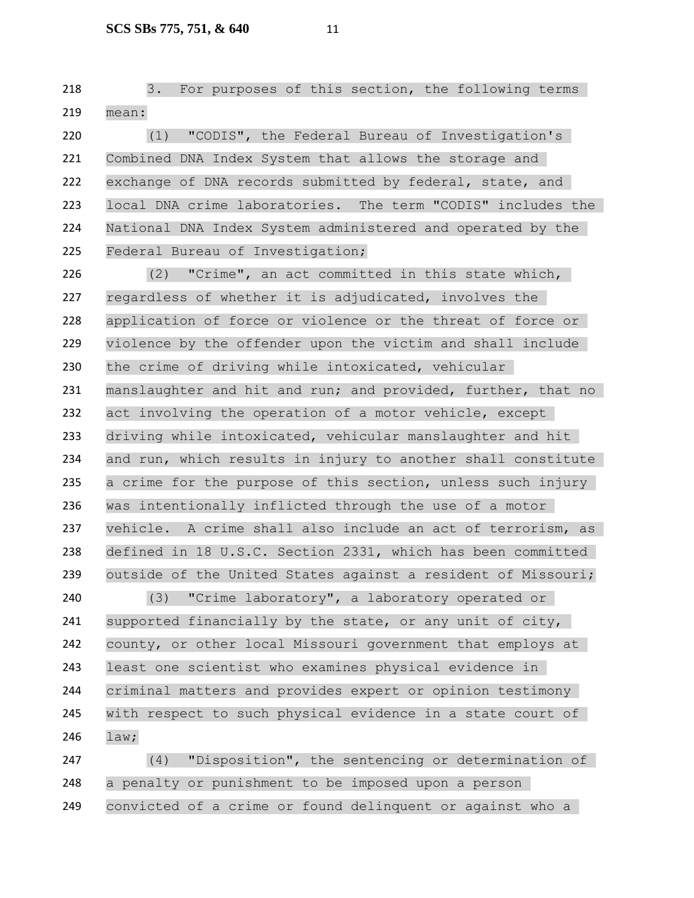3. For purposes of this section, the following terms mean:

 (1) "CODIS", the Federal Bureau of Investigation's Combined DNA Index System that allows the storage and exchange of DNA records submitted by federal, state, and local DNA crime laboratories. The term "CODIS" includes the National DNA Index System administered and operated by the Federal Bureau of Investigation;

 (2) "Crime", an act committed in this state which, regardless of whether it is adjudicated, involves the application of force or violence or the threat of force or violence by the offender upon the victim and shall include the crime of driving while intoxicated, vehicular manslaughter and hit and run; and provided, further, that no act involving the operation of a motor vehicle, except driving while intoxicated, vehicular manslaughter and hit and run, which results in injury to another shall constitute a crime for the purpose of this section, unless such injury was intentionally inflicted through the use of a motor vehicle. A crime shall also include an act of terrorism, as defined in 18 U.S.C. Section 2331, which has been committed outside of the United States against a resident of Missouri;

 (3) "Crime laboratory", a laboratory operated or supported financially by the state, or any unit of city, county, or other local Missouri government that employs at least one scientist who examines physical evidence in criminal matters and provides expert or opinion testimony with respect to such physical evidence in a state court of law;

 (4) "Disposition", the sentencing or determination of a penalty or punishment to be imposed upon a person convicted of a crime or found delinquent or against who a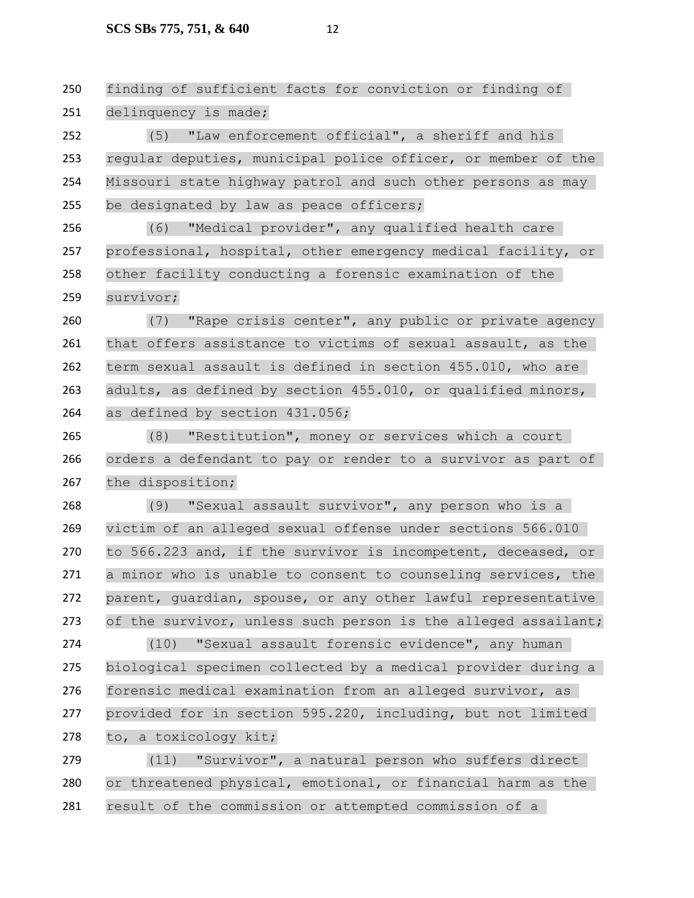finding of sufficient facts for conviction or finding of delinquency is made;

 (5) "Law enforcement official", a sheriff and his regular deputies, municipal police officer, or member of the Missouri state highway patrol and such other persons as may 255 be designated by law as peace officers;

 (6) "Medical provider", any qualified health care professional, hospital, other emergency medical facility, or other facility conducting a forensic examination of the survivor;

 (7) "Rape crisis center", any public or private agency that offers assistance to victims of sexual assault, as the term sexual assault is defined in section 455.010, who are adults, as defined by section 455.010, or qualified minors, 264 as defined by section 431.056;

 (8) "Restitution", money or services which a court orders a defendant to pay or render to a survivor as part of the disposition;

 (9) "Sexual assault survivor", any person who is a victim of an alleged sexual offense under sections 566.010 to 566.223 and, if the survivor is incompetent, deceased, or a minor who is unable to consent to counseling services, the parent, guardian, spouse, or any other lawful representative 273 of the survivor, unless such person is the alleged assailant;

 (10) "Sexual assault forensic evidence", any human biological specimen collected by a medical provider during a forensic medical examination from an alleged survivor, as provided for in section 595.220, including, but not limited to, a toxicology kit;

 (11) "Survivor", a natural person who suffers direct or threatened physical, emotional, or financial harm as the result of the commission or attempted commission of a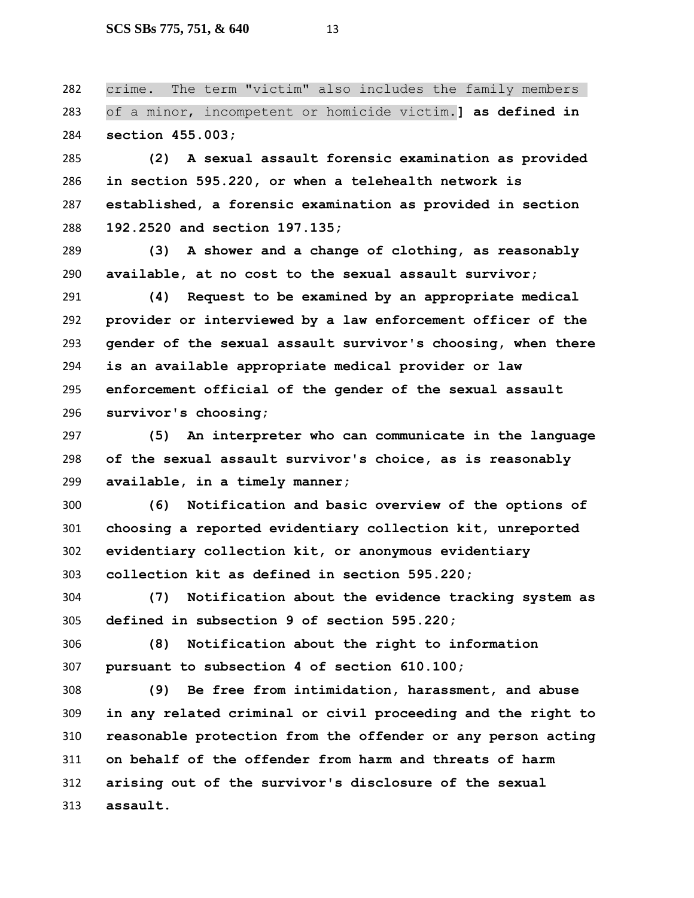crime. The term "victim" also includes the family members of a minor, incompetent or homicide victim.**] as defined in section 455.003;**

 **(2) A sexual assault forensic examination as provided in section 595.220, or when a telehealth network is established, a forensic examination as provided in section 192.2520 and section 197.135;**

 **(3) A shower and a change of clothing, as reasonably available, at no cost to the sexual assault survivor;**

 **(4) Request to be examined by an appropriate medical provider or interviewed by a law enforcement officer of the gender of the sexual assault survivor's choosing, when there is an available appropriate medical provider or law enforcement official of the gender of the sexual assault survivor's choosing;**

 **(5) An interpreter who can communicate in the language of the sexual assault survivor's choice, as is reasonably available, in a timely manner;**

 **(6) Notification and basic overview of the options of choosing a reported evidentiary collection kit, unreported evidentiary collection kit, or anonymous evidentiary collection kit as defined in section 595.220;**

 **(7) Notification about the evidence tracking system as defined in subsection 9 of section 595.220;**

 **(8) Notification about the right to information pursuant to subsection 4 of section 610.100;**

 **(9) Be free from intimidation, harassment, and abuse in any related criminal or civil proceeding and the right to reasonable protection from the offender or any person acting on behalf of the offender from harm and threats of harm arising out of the survivor's disclosure of the sexual assault.**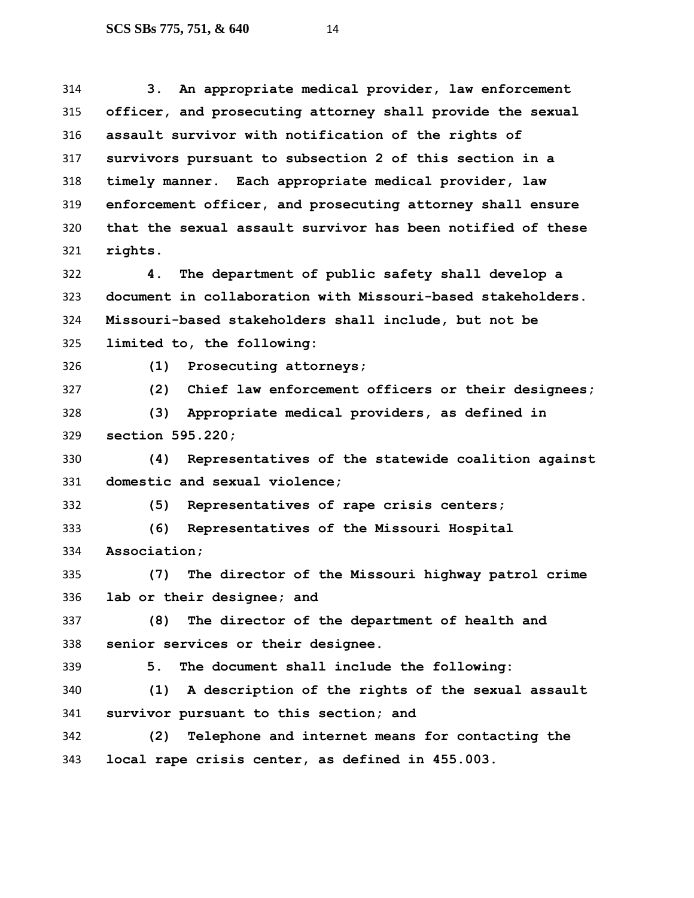**3. An appropriate medical provider, law enforcement officer, and prosecuting attorney shall provide the sexual assault survivor with notification of the rights of survivors pursuant to subsection 2 of this section in a timely manner. Each appropriate medical provider, law enforcement officer, and prosecuting attorney shall ensure that the sexual assault survivor has been notified of these rights.**

 **4. The department of public safety shall develop a document in collaboration with Missouri-based stakeholders. Missouri-based stakeholders shall include, but not be limited to, the following:**

**(1) Prosecuting attorneys;**

**(2) Chief law enforcement officers or their designees;**

 **(3) Appropriate medical providers, as defined in section 595.220;**

 **(4) Representatives of the statewide coalition against domestic and sexual violence;**

**(5) Representatives of rape crisis centers;**

 **(6) Representatives of the Missouri Hospital Association;**

 **(7) The director of the Missouri highway patrol crime lab or their designee; and**

 **(8) The director of the department of health and senior services or their designee.**

**5. The document shall include the following:**

 **(1) A description of the rights of the sexual assault survivor pursuant to this section; and**

 **(2) Telephone and internet means for contacting the local rape crisis center, as defined in 455.003.**